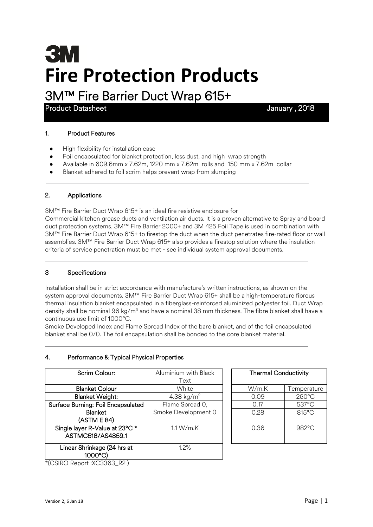# **3M Fire Protection Products**

3M™ Fire Barrier Duct Wrap 615+

Product Datasheet **January** , 2018

#### 1. Product Features

- High flexibility for installation ease
- Foil encapsulated for blanket protection, less dust, and high wrap strength
- Available in 609.6mm x 7.62m, 1220 mm x 7.62m rolls and 150 mm x 7.62m collar
- Blanket adhered to foil scrim helps prevent wrap from slumping

## 2. Applications

3M™ Fire Barrier Duct Wrap 615+ is an ideal fire resistive enclosure for Commercial kitchen grease ducts and ventilation air ducts. It is a proven alternative to Spray and board duct protection systems. 3M™ Fire Barrier 2000+ and 3M 425 Foil Tape is used in combination with 3M™ Fire Barrier Duct Wrap 615+ to firestop the duct when the duct penetrates fire-rated floor or wall assemblies. 3M™ Fire Barrier Duct Wrap 615+ also provides a firestop solution where the insulation criteria of service penetration must be met - see individual system approval documents.

# 3 Specifications

Installation shall be in strict accordance with manufacture's written instructions, as shown on the system approval documents. 3M™ Fire Barrier Duct Wrap 615+ shall be a high-temperature fibrous thermal insulation blanket encapsulated in a fiberglass-reinforced aluminized polyester foil. Duct Wrap density shall be nominal 96 kg/m<sup>3</sup> and have a nominal 38 mm thickness. The fibre blanket shall have a continuous use limit of 1000°C.

Smoke Developed Index and Flame Spread Index of the bare blanket, and of the foil encapsulated blanket shall be 0/0. The foil encapsulation shall be bonded to the core blanket material.

#### 4. Performance & Typical Physical Properties

| Scrim Colour:                      | Aluminium with Black   | <b>Thermal Conductivity</b> |                 |
|------------------------------------|------------------------|-----------------------------|-----------------|
|                                    | Text                   |                             |                 |
| <b>Blanket Colour</b>              | White                  | W/m.K                       | Temperature     |
| <b>Blanket Weight:</b>             | 4.38 kg/m <sup>2</sup> | 0.09                        | $260^{\circ}$ C |
| Surface Burning: Foil Encapsulated | Flame Spread O,        | 0.17                        | 537°C           |
| <b>Blanket</b>                     | Smoke Development 0    | 0.28                        | $815^{\circ}$ C |
| (ASTM E 84)                        |                        |                             |                 |
| Single layer R-Value at 23°C *     | $1.1 W/m$ .K           | 0.36                        | $982^{\circ}$ C |
| ASTMC518/AS4859.1                  |                        |                             |                 |
| Linear Shrinkage (24 hrs at        | $1.2\%$                |                             |                 |
| 1000°C)                            |                        |                             |                 |

| nium with Black<br>Text  | <b>Thermal Conductivity</b> |                 |  |  |
|--------------------------|-----------------------------|-----------------|--|--|
| White                    | W/m.K                       | Temperature     |  |  |
| $4.38$ kg/m <sup>2</sup> | 0.09                        | $260^{\circ}$ C |  |  |
| me Spread 0,             | 0.17                        | 537°C           |  |  |
| Development 0            | 0.28                        | 815°C           |  |  |
| 1.1 W/m.K                | 0.36                        | $982^{\circ}$ C |  |  |

\*(CSIRO Report :XC3363\_R2 )